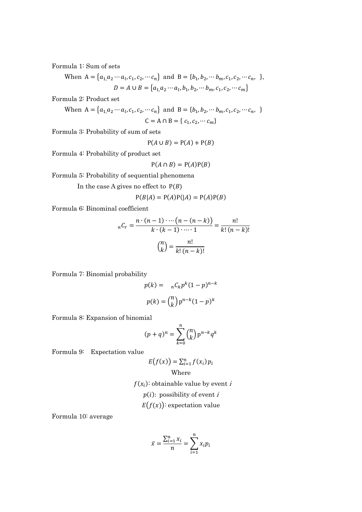Formula 1: Sum of sets

When 
$$
A = \{a_1, a_2 \cdots a_l, c_1, c_2, \cdots c_n\}
$$
 and  $B = \{b_1, b_2, \cdots b_m, c_1, c_2, \cdots c_n, \}$ ,  
\n
$$
D = A \cup B = \{a_1, a_2 \cdots a_l, b_1, b_2, \cdots b_m, c_1, c_2, \cdots c_m\}
$$

Formula 2: Product set

When 
$$
A = \{a_1, a_2 \cdots a_l, c_1, c_2, \cdots c_n\}
$$
 and  $B = \{b_1, b_2, \cdots b_m, c_1, c_2, \cdots c_n, \}$   
 $C = A \cap B = \{c_1, c_2, \cdots c_m\}$ 

Formula 3: Probability of sum of sets

$$
P(A \cup B) = P(A) + P(B)
$$

Formula 4: Probability of product set

$$
P(A \cap B) = P(A)P(B)
$$

Formula 5: Probability of sequential phenomena

In the case A gives no effect to  $P(B)$ 

$$
P(B|A) = P(A)P(|A) = P(A)P(B)
$$

Formula 6: Binominal coefficient

$$
{}_{n}C_{r} = \frac{n \cdot (n-1) \cdot \cdots (n-(n-k))}{k \cdot (k-1) \cdot \cdots 1} = \frac{n!}{k! (n-k)!}
$$

$$
{n \choose k} = \frac{n!}{k! (n-k)!}
$$

Formula 7: Binomial probability

$$
p(k) = nC_k p^k (1-p)^{n-k}
$$

$$
p(k) = {n \choose k} p^{n-k} (1-p)^k
$$

Formula 8: Expansion of binomial

$$
(p+q)^n = \sum_{k=0}^n {n \choose k} p^{n-k} q^k
$$

Formula 9: Expectation value

$$
E(f(x)) = \sum_{i=1}^{n} f(x_i) p_i
$$
  
Where

$$
f(x_i)
$$
: obtainable value by event *i*  
 $p(i)$ : possibility of event *i*  
 $E(f(x))$ : expectation value

Formula 10: average

$$
\bar{x} = \frac{\sum_{i=1}^{n} x_i}{n} = \sum_{i=1}^{n} x_i p_i
$$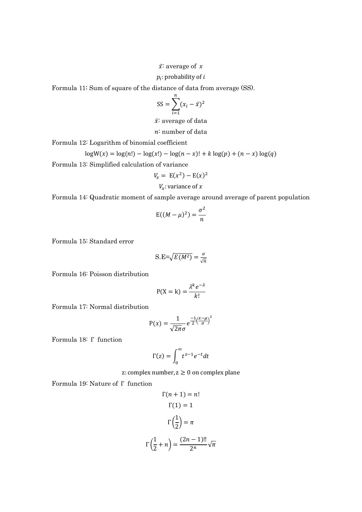## $\bar{x}$  average of x

## $p_i$ : probability of  $i$

Formula 11: Sum of square of the distance of data from average (SS).

$$
SS = \sum_{i=1}^{n} (x_i - \bar{x})^2
$$

 $\bar{x}$  average of data

: number of data

Formula 12: Logarithm of binomial coefficient

$$
\log W(x) = \log(n!) - \log(x!) - \log(n-x)! + k \log(p) + (n-x) \log(q)
$$

Formula 13: Simplified calculation of variance

$$
V_x = E(x^2) - E(x)^2
$$
  

$$
V_x
$$
: variance of x

Formula 14: Quadratic moment of sample average around average of parent population

$$
E((M - \mu)^2) = \frac{\sigma^2}{n}
$$

Formula 15: Standard error

$$
S.E=\sqrt{E(M^2)}=\frac{\sigma}{\sqrt{n}}
$$

Formula 16: Poisson distribution

$$
P(X = k) = \frac{\lambda^k e^{-\lambda}}{k!}
$$

Formula 17: Normal distribution

$$
P(x) = \frac{1}{\sqrt{2\pi}\sigma} e^{\frac{-1}{2} \left(\frac{x-\mu}{\sigma}\right)^2}
$$

Formula 18: Γ function

$$
\Gamma(z) = \int_0^\infty t^{z-1} e^{-t} dt
$$

z: complex number,  $z \geq 0$  on complex plane

Formula 19: Nature of Γ function

$$
\Gamma(n + 1) = n!
$$

$$
\Gamma(1) = 1
$$

$$
\Gamma\left(\frac{1}{2}\right) = \pi
$$

$$
\Gamma\left(\frac{1}{2} + n\right) = \frac{(2n - 1)!!}{2^n} \sqrt{\pi}
$$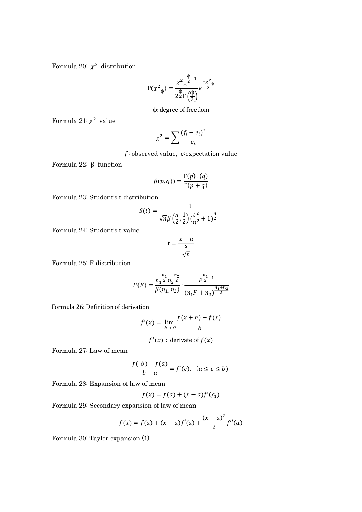Formula 20:  $\chi^2$  distribution

$$
P(\chi^{2}_{\phi}) = \frac{\chi^{2}_{\phi} \frac{\Phi}{2}^{-1}}{2^{\frac{\Phi}{2}} \Gamma(\frac{\Phi}{2})} e^{-\frac{\chi^{2}_{\phi}}{2}}
$$

ϕ: degree of freedom

Formula  $21:\chi^2$  value

$$
\chi^2 = \sum \frac{(f_i - e_i)^2}{e_i}
$$

 $f$ : observed value, e: expectation value

Formula 22: β function

$$
\beta(p,q)) = \frac{\Gamma(p)\Gamma(q)}{\Gamma(p+q)}
$$

Formula 23: Student's t distribution

$$
S(t) = \frac{1}{\sqrt{n}\beta \left(\frac{n}{2}, \frac{1}{2}\right) \left(\frac{t^2}{n^2} + 1\right)^{\frac{n}{2} + 1}}
$$

Formula 24: Student's t value

$$
t = \frac{\bar{x} - \mu}{\frac{S}{\sqrt{n}}}
$$

Formula 25: F distribution

$$
P(F) = \frac{n_1^{\frac{n_1}{2}} n_2^{\frac{n_2}{2}}}{\beta(n_1, n_2)} \cdot \frac{F^{\frac{n_1}{2}-1}}{(n_1 F + n_2)^{\frac{n_1 + n_2}{2}}}
$$

Formula 26: Definition of derivation

$$
f'(x) = \lim_{h \to 0} \frac{f(x+h) - f(x)}{h}
$$

 $f'(x)$ : derivate of  $f(x)$ 

Formula 27: Law of mean

$$
\frac{f(b)-f(a)}{b-a}=f'(c), \ (a\leq c\leq b)
$$

Formula 28: Expansion of law of mean

$$
f(x) = f(a) + (x - a)f'(c1)
$$

Formula 29: Secondary expansion of law of mean

$$
f(x) = f(a) + (x - a)f'(a) + \frac{(x - a)^2}{2}f''(a)
$$

Formula 30: Taylor expansion (1)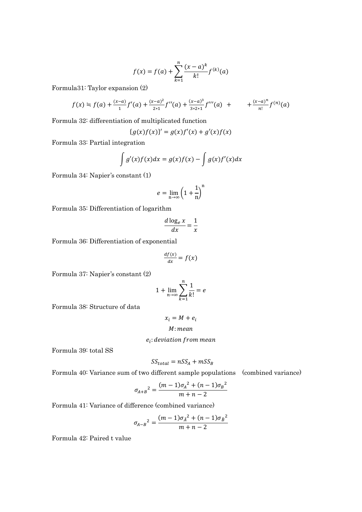$$
f(x) = f(a) + \sum_{k=1}^{n} \frac{(x-a)^k}{k!} f^{(k)}(a)
$$

Formula31: Taylor expansion (2)

$$
f(x) = f(a) + \frac{(x-a)}{1}f'(a) + \frac{(x-a)^2}{2*1}f''(a) + \frac{(x-a)^3}{3*2*1}f'''(a) + \cdots + \frac{(x-a)^n}{n!}f^{(n)}(a)
$$

Formula 32: differentiation of multiplicated function

$$
\{g(x)f(x)\}' = g(x)f'(x) + g'(x)f(x)
$$

Formula 33: Partial integration

$$
\int g'(x)f(x)dx = g(x)f(x) - \int g(x)f'(x)dx
$$

Formula 34: Napier's constant (1)

$$
e = \lim_{n \to \infty} \left( 1 + \frac{1}{n} \right)^n
$$

Formula 35: Differentiation of logarithm

$$
\frac{d\log_e x}{dx} = \frac{1}{x}
$$

Formula 36: Differentiation of exponential

$$
\frac{df(x)}{dx} = f(x)
$$

Formula 37: Napier's constant (2)

$$
1 + \lim_{n \to \infty} \sum_{k=1}^{n} \frac{1}{k!} = e
$$

Formula 38: Structure of data

$$
x_i = M + e_i
$$

M: mean e<sub>i</sub>: deviation from mean

Formula 39: total SS

$$
SS_{total} = nSS_A + mSS_B
$$

Formula 40: Variance sum of two different sample populations (combined variance)

$$
\sigma_{A+B}^2 = \frac{(m-1)\sigma_A^2 + (n-1)\sigma_B^2}{m+n-2}
$$

Formula 41: Variance of difference (combined variance)

$$
\sigma_{A-B}^2 = \frac{(m-1)\sigma_{\hat{A}}^2 + (n-1)\sigma_{\hat{B}}^2}{m+n-2}
$$

Formula 42: Paired t value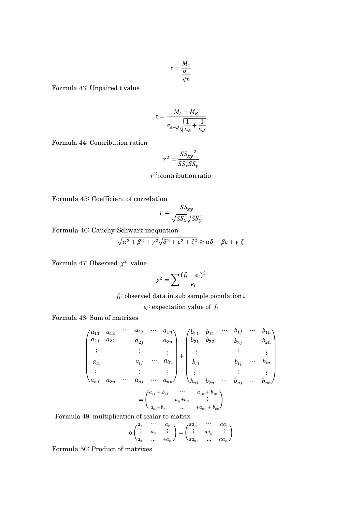$$
t = \frac{M_c}{\frac{\sigma_c}{\sqrt{n}}}
$$

Formula 43: Unpaired t value

$$
t = \frac{M_A - M_B}{\sigma_{A-B} \sqrt{\frac{1}{n_A} + \frac{1}{n_B}}}
$$

Formula 44: Contribution ration

$$
r^2 = \frac{SS_{xy}^2}{SS_xSS_y}
$$

## $r^2$ : contribution ratio

Formula 45: Coefficient of correlation

$$
r = \frac{SS_{xy}}{\sqrt{SS_x}\sqrt{SS_y}}
$$

Formula 46: Cauchy-Schwarz inequation

$$
\sqrt{\alpha^2 + \beta^2 + \gamma^2} \sqrt{\delta^2 + \varepsilon^2 + \zeta^2} \ge \alpha \delta + \beta \varepsilon + \gamma \zeta
$$

Formula 47: Observed  $\chi^2$  value

$$
\chi^2 = \sum \frac{(f_i-e_i)^2}{e_i}
$$

 $f_i$ : observed data in sub sample population i

 $e_i$ : expectation value of  $f_i$ 

Formula 48: Sum of matrixes

$$
\begin{pmatrix}\na_{11} & a_{12} & \cdots & a_{1j} & \cdots & a_{1n} \\
a_{21} & a_{22} & a_{2j} & a_{2n} \\
\vdots & \vdots & \vdots & \vdots \\
a_{i1} & a_{i1} & \cdots & a_{in} \\
\vdots & \vdots & \vdots & \vdots \\
a_{n1} & a_{2n} & \cdots & a_{nj} & \cdots & a_{nn}\n\end{pmatrix}\n+\n\begin{pmatrix}\nb_{11} & b_{12} & \cdots & b_{1j} & \cdots & b_{1n} \\
b_{21} & b_{22} & b_{2j} & b_{2n} \\
\vdots & \vdots & \vdots & \vdots \\
b_{i1} & b_{i2} & \cdots & b_{in} \\
\vdots & \vdots & \vdots & \vdots \\
b_{n1} & b_{2n} & \cdots & b_{nj} & \cdots & b_{nn}\n\end{pmatrix}
$$
\n
$$
=\n\begin{pmatrix}\na_{11} + b_{11} & \cdots & a_{1n} + b_{1n} \\
\vdots & a_{ij} + b_{ij} & \vdots \\
a_{n1} + b_{n1} & \cdots & a_{nn} + b_{nn}\n\end{pmatrix}
$$

Formula 49: multiplication of scalar to matrix

$$
\alpha \begin{pmatrix} a_{11} & \cdots & a_n \\ \vdots & a_{ij} & \vdots \\ a_{n1} & \cdots & a_{nn} \end{pmatrix} = \begin{pmatrix} \alpha a_{11} & \cdots & \alpha a_n \\ \vdots & \alpha a_{ij} & \vdots \\ \alpha a_{n1} & \cdots & \alpha a_{nn} \end{pmatrix}
$$

Formula 50: Product of matrixes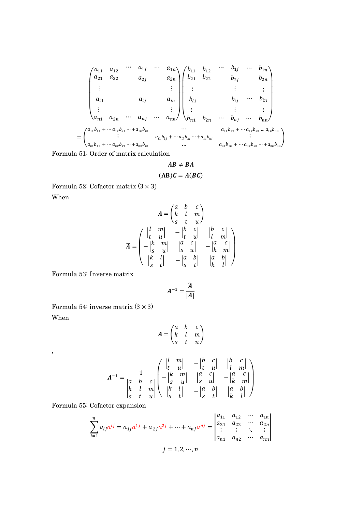$$
= \begin{pmatrix} a_{11} & a_{12} & \cdots & a_{1j} & \cdots & a_{1n} \\ a_{21} & a_{22} & a_{2j} & a_{2n} \\ \vdots & & & \vdots & \vdots \\ a_{i1} & a_{ij} & a_{in} & b_{i1} & b_{i2} & b_{i2} \\ \vdots & & & \vdots & \vdots & \vdots \\ a_{n1} & a_{2n} & \cdots & a_{nj} & \cdots & a_{nn} \end{pmatrix} \begin{pmatrix} b_{11} & b_{12} & \cdots & b_{1j} & \cdots & b_{1n} \\ b_{21} & b_{22} & b_{2j} & b_{2n} \\ \vdots & & & \vdots & \vdots \\ b_{i1} & b_{ij} & \cdots & b_{in} \\ \vdots & & & \vdots & \vdots \\ b_{n1} & b_{2n} & \cdots & b_{nj} & \cdots & b_{nn} \end{pmatrix}
$$

$$
= \begin{pmatrix} a_{11}b_{11} + \cdots a_{1k}b_{k1} \cdots + a_{1n}b_{n1} & \cdots & a_{11}b_{1j} + \cdots a_{1k}b_{kj} \cdots + a_{1n}b_{nj} \\ \vdots & & & \vdots & \vdots \\ a_{n1}b_{11} + \cdots a_{nk}b_{k1} \cdots + a_{nn}b_{n1} & \cdots & a_{n1}b_{1j} + \cdots a_{nk}b_{kn} \cdots + a_{nn}b_{nn} \end{pmatrix}
$$

Formula 51: Order of matrix calculation

$$
AB \neq BA
$$
  
(AB) $C = A(BC)$ 

Formula 52: Cofactor matrix  $(3 \times 3)$ 

When

$$
\widetilde{A} = \begin{pmatrix}\na & b & c \\
k & l & m \\
s & t & u\n\end{pmatrix}
$$

$$
\widetilde{A} = \begin{pmatrix}\n\begin{vmatrix}\nl & m \\
t & u\n\end{vmatrix} & -\begin{vmatrix}\nb & c \\
t & u\n\end{vmatrix} & \begin{vmatrix}\nb & c \\
l & m\n\end{vmatrix} \\
\begin{vmatrix}\nk & m \\
s & u\n\end{vmatrix} & \begin{vmatrix}\na & c \\
s & u\n\end{vmatrix} & -\begin{vmatrix}\na & c \\
k & m \\
s & t\n\end{vmatrix}\n\end{pmatrix}
$$

Formula 53: Inverse matrix

$$
A^{-1}=\frac{\widetilde{A}}{|A|}
$$

Formula 54: inverse matrix  $(3 \times 3)$ 

When

,

$$
A = \begin{pmatrix} a & b & c \\ k & l & m \\ s & t & u \end{pmatrix}
$$

$$
A^{-1} = \frac{1}{\begin{vmatrix} a & b & c \\ k & l & m \\ s & t & u \end{vmatrix}} \begin{pmatrix} \begin{vmatrix} l & m \\ t & u \end{vmatrix} & -\begin{vmatrix} b & c \\ t & u \end{vmatrix} & \begin{vmatrix} b & c \\ l & m \end{vmatrix} \\ \begin{vmatrix} k & m \\ s & u \end{vmatrix} & \begin{vmatrix} a & c \\ s & u \end{vmatrix} & -\begin{vmatrix} a & c \\ k & m \end{vmatrix} \\ \begin{vmatrix} k & l \\ s & t \end{vmatrix} & -\begin{vmatrix} a & b \\ s & t \end{vmatrix} & \begin{vmatrix} a & b \\ k & l \end{vmatrix} \end{pmatrix}
$$

Formula 55: Cofactor expansion

$$
\sum_{i=1}^{n} a_{ij} a^{ij} = a_{1j} a^{1j} + a_{2j} a^{2j} + \dots + a_{nj} a^{nj} = \begin{vmatrix} a_{11} & a_{12} & \cdots & a_{1n} \\ a_{21} & a_{22} & \cdots & a_{2n} \\ \vdots & \vdots & \ddots & \vdots \\ a_{n1} & a_{n2} & \cdots & a_{nn} \end{vmatrix}
$$

$$
j = 1, 2, \cdots, n
$$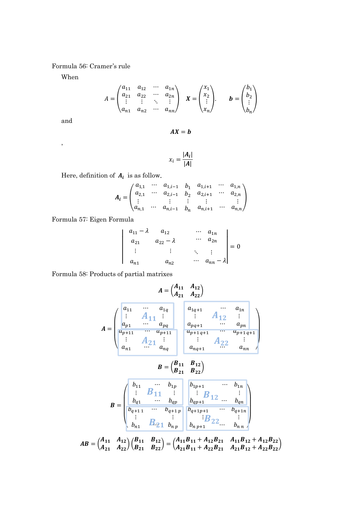Formula 56: Cramer's rule

When

$$
A = \begin{pmatrix} a_{11} & a_{12} & \cdots & a_{1n} \\ a_{21} & a_{22} & \cdots & a_{2n} \\ \vdots & \vdots & \ddots & \vdots \\ a_{n1} & a_{n2} & \cdots & a_{nn} \end{pmatrix} \quad \boldsymbol{X} = \begin{pmatrix} x_1 \\ x_2 \\ \vdots \\ x_n \end{pmatrix} \quad \boldsymbol{b} = \begin{pmatrix} b_1 \\ b_2 \\ \vdots \\ b_n \end{pmatrix}
$$

and

,

$$
AX = b
$$

$$
x_i = \frac{|A_i|}{|A|}
$$

Here, definition of  $A_i$  is as follow.

$$
A_i = \begin{pmatrix} a_{1,1} & \cdots & a_{1,i-1} & b_1 & a_{1,i+1} & \cdots & a_{1,n} \\ a_{2,1} & \cdots & a_{2,i-1} & b_2 & a_{2,i+1} & \cdots & a_{2,n} \\ \vdots & \vdots & \vdots & \vdots & & \vdots \\ a_{n,1} & \cdots & a_{n,i-1} & b_n & a_{n,i+1} & \cdots & a_{n,n} \end{pmatrix}
$$

Formula 57: Eigen Formula

$$
\begin{vmatrix} a_{11} - \lambda & a_{12} & \cdots & a_{1n} \\ a_{21} & a_{22} - \lambda & \cdots & a_{2n} \\ \vdots & \vdots & \ddots & \vdots \\ a_{n1} & a_{n2} & \cdots & a_{nn} - \lambda \end{vmatrix} = 0
$$

Formula 58: Products of partial matrixes

 $\mathbf{A}$ 

$$
A = \begin{pmatrix} a_{11} & A_{12} \\ a_{21} & A_{22} \end{pmatrix}
$$
  
\n
$$
A = \begin{pmatrix} a_{11} & \cdots & a_{1q} \\ a_{p1} & \cdots & a_{pq} \\ a_{p+11} & \cdots & a_{pq} \\ \vdots & A_{21} & \vdots \\ a_{n1} & \cdots & a_{nq} \end{pmatrix} \begin{pmatrix} a_{1q+1} & \cdots & a_{1n} \\ a_{pq+1} & \cdots & a_{pn} \\ a_{p+1q+1} & \cdots & a_{p+1q+1} \\ \vdots & A_{21} & \vdots & \vdots \\ a_{nq} & a_{nq+1} & \cdots & a_{nq+1q+1} \\ \vdots & \vdots & \vdots & \vdots \\ a_{nq+1} & \cdots & a_{nq+1} \end{pmatrix}
$$
  
\n
$$
B = \begin{pmatrix} b_{11} & \cdots & b_{1p} \\ b_{21} & b_{22} \end{pmatrix}
$$
  
\n
$$
B = \begin{pmatrix} b_{11} & \cdots & b_{1p} \\ b_{11} & \cdots & b_{qp} \\ b_{q+11} & \cdots & b_{q+1p} \\ \vdots & \vdots & \vdots \\ b_{n1} & B_{21} & b_{np} \end{pmatrix}
$$
  
\n
$$
B = \begin{pmatrix} b_{11} & \cdots & b_{1p} \\ b_{11} & \cdots & b_{1p} \\ b_{11} & \cdots & b_{q+1p} \\ \vdots & \vdots & \vdots \\ b_{n1} & B_{n1} & b_{n1} \end{pmatrix}
$$
  
\n
$$
b_{n1} & b_{n2} & \cdots & b_{nn} \end{pmatrix}
$$

 $AB = \begin{pmatrix} A_{11} & A_{12} \\ A & A \end{pmatrix}$  $\begin{pmatrix} A_{11} & A_{12} \ A_{21} & A_{22} \end{pmatrix} \begin{pmatrix} B_{11} & B_{12} \ B_{21} & B_{22} \end{pmatrix} = \begin{pmatrix} A_{11}B_{11} + A_{12}B_{21} & A_{11}B_{12} + A_{12}B_{22} \ A_{21}B_{11} + A_{22}B_{21} & A_{21}B_{12} + A_{22}B_{22} \end{pmatrix}$  $A_{21}B_{11} + A_{22}B_{21}$   $A_{21}B_{12} + A_{22}B_{22}$ 

 $b_{n p+1}$ <sup> $\leftarrow \cdots$ </sup>  $b_{n n}$ 

 $b_{n1}$  **D** 21  $b_{n p}$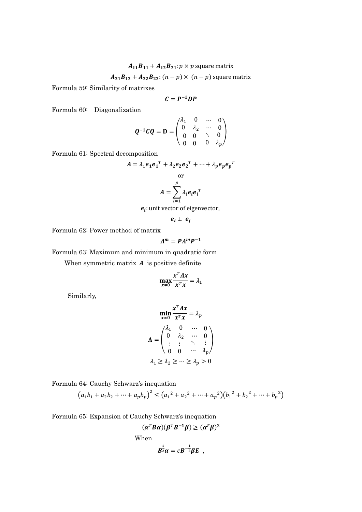$A_{11}B_{11} + A_{12}B_{21}$ :  $p \times p$  square matrix

$$
A_{21}B_{12} + A_{22}B_{22}
$$
:  $(n-p) \times (n-p)$  square matrix

Formula 59: Similarity of matrixes

$$
C=P^{-1}DP
$$

Formula 60: Diagonalization

$$
Q^{-1}CQ = D = \begin{pmatrix} \lambda_1 & 0 & \cdots & 0 \\ 0 & \lambda_2 & \cdots & 0 \\ 0 & 0 & \ddots & 0 \\ 0 & 0 & 0 & \lambda_p \end{pmatrix}
$$

Formula 61: Spectral decomposition

$$
A = \lambda_1 e_1 e_1^T + \lambda_2 e_2 e_2^T + \dots + \lambda_p e_p e_p^T
$$
  
or  

$$
A = \sum_{i=1}^p \lambda_i e_i e_i^T
$$

 $e_i$ : unit vector of eigenvector,

 $e_i \perp e_j$ 

Formula 62: Power method of matrix

$$
A^m = P A^m P^{-1}
$$

Formula 63: Maximum and minimum in quadratic form

When symmetric matrix  $A$  is positive definite

$$
\max_{x\neq 0} \frac{x^T A x}{x^T x} = \lambda_1
$$

Similarly,

$$
\min_{x \neq 0} \frac{x^T A x}{x^T x} = \lambda_p
$$
  

$$
\Lambda = \begin{pmatrix} \lambda_1 & 0 & \cdots & 0 \\ 0 & \lambda_2 & \cdots & 0 \\ \vdots & \vdots & \ddots & \vdots \\ 0 & 0 & \cdots & \lambda_p \end{pmatrix}
$$
  

$$
\lambda_1 \ge \lambda_2 \ge \cdots \ge \lambda_p > 0
$$

Formula 64: Cauchy Schwarz's inequation

$$
(a_1b_1 + a_2b_2 + \dots + a_pb_p)^2 \le (a_1^2 + a_2^2 + \dots + a_p^2)(b_1^2 + b_2^2 + \dots + b_p^2)
$$

Formula 65: Expansion of Cauchy Schwarz's inequation

$$
(\alpha^T B \alpha)(\beta^T B^{-1} \beta) \ge (\alpha^T \beta)^2
$$
  
When  

$$
B^{\frac{1}{2}} \alpha = c B^{-\frac{1}{2}} \beta E,
$$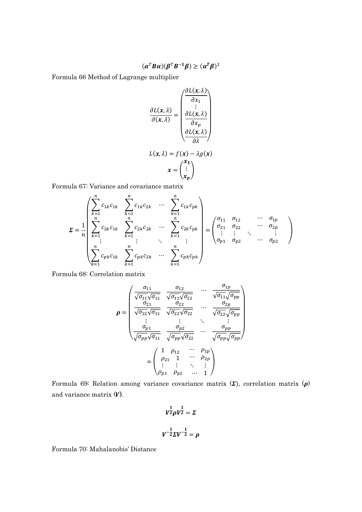$$
(\alpha^T B \alpha)(\beta^T B^{-1} \beta) \geq (\alpha^T \beta)^2
$$

Formula 66 Method of Lagrange multiplier

$$
\frac{\partial L(x,\lambda)}{\partial(x,\lambda)} = \begin{pmatrix}\n\frac{\partial L(x,\lambda)}{\partial x_1} \\
\vdots \\
\frac{\partial L(x,\lambda)}{\partial x_p} \\
\frac{\partial L(x,\lambda)}{\partial x}\n\end{pmatrix}
$$
\n
$$
L(x,\lambda) = f(x) - \lambda g(x)
$$
\n
$$
x = \begin{pmatrix} x_1 \\ \vdots \\ x_p \end{pmatrix}
$$

Formula 67: Variance and covariance matrix

$$
\Sigma = \frac{1}{n} \begin{pmatrix} \sum_{k=1}^{n} c_{1k} c_{1k} & \sum_{k=1}^{n} c_{1k} c_{2k} & \cdots & \sum_{k=1}^{n} c_{1k} c_{pk} \\ \sum_{k=1}^{n} c_{2k} c_{1k} & \sum_{k=1}^{n} c_{2k} c_{2k} & \cdots & \sum_{k=1}^{n} c_{2k} c_{pk} \\ \vdots & \vdots & \ddots & \vdots \\ \sum_{k=1}^{n} c_{pk} c_{1k} & \sum_{k=1}^{n} c_{pk} c_{2k} & \cdots & \sum_{k=1}^{n} c_{pk} c_{pk} \end{pmatrix} = \begin{pmatrix} \sigma_{11} & \sigma_{12} & \cdots & \sigma_{1p} \\ \sigma_{21} & \sigma_{22} & \cdots & \sigma_{2p} \\ \vdots & \vdots & \ddots & \vdots \\ \sigma_{p1} & \sigma_{p2} & \cdots & \sigma_{p2} \end{pmatrix}
$$

Formula 68: Correlation matrix

$$
\rho = \begin{pmatrix}\n\frac{\sigma_{11}}{\sqrt{\sigma_{11}}\sqrt{\sigma_{11}}} & \frac{\sigma_{12}}{\sqrt{\sigma_{11}}\sqrt{\sigma_{22}}} & \cdots & \frac{\sigma_{1p}}{\sqrt{\sigma_{11}}\sqrt{\sigma_{pp}}}\\
\frac{\sigma_{21}}{\sqrt{\sigma_{22}}\sqrt{\sigma_{11}}} & \frac{\sigma_{22}}{\sqrt{\sigma_{22}}\sqrt{\sigma_{22}}} & \cdots & \frac{\sigma_{2p}}{\sqrt{\sigma_{22}}\sqrt{\sigma_{pp}}}\\
\vdots & \vdots & \ddots & \vdots\\
\frac{\sigma_{p1}}{\sqrt{\sigma_{pp}}\sqrt{\sigma_{11}}} & \frac{\sigma_{p2}}{\sqrt{\sigma_{pp}}\sqrt{\sigma_{22}}} & \cdots & \frac{\sigma_{pp}}{\sqrt{\sigma_{pp}}\sqrt{\sigma_{pp}}}\n\end{pmatrix}
$$
\n
$$
= \begin{pmatrix}\n1 & \rho_{12} & \cdots & \rho_{1p} \\
\rho_{21} & 1 & \cdots & \rho_{2p} \\
\vdots & \vdots & \ddots & \vdots \\
\rho_{p1} & \rho_{p2} & \cdots & 1\n\end{pmatrix}
$$

Formula 69: Relation among variance covariance matrix  $(\Sigma)$ , correlation matrix  $(\rho)$ and variance matrix  $(V)$ .

$$
V^{\frac{1}{2}} \rho V^{\frac{1}{2}} = \Sigma
$$

$$
V^{-\frac{1}{2}} \Sigma V^{-\frac{1}{2}} = \rho
$$

Formula 70: Mahalanobis' Distance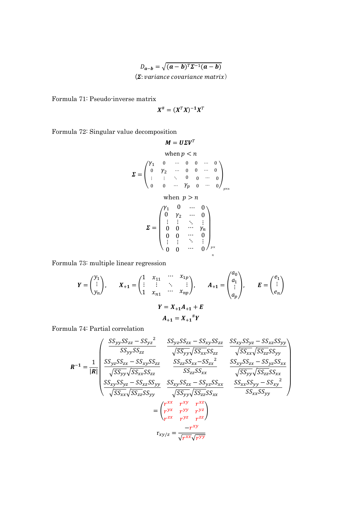$$
D_{a-b} = \sqrt{(a-b)^T \Sigma^{-1} (a-b)}
$$
  
( $\Sigma$ : variance covariance matrix)

Formula 71: Pseudo-inverse matrix

$$
X^{\#}=(X^TX)^{-1}X^T
$$

Formula 72: Singular value decomposition

$$
M = U\Sigma V^{T}
$$
  
\nwhen  $p < n$   
\n
$$
\Sigma = \begin{pmatrix} Y_{1} & 0 & \cdots & 0 & 0 & \cdots & 0 \\ 0 & Y_{2} & \cdots & 0 & 0 & \cdots & 0 \\ \vdots & \vdots & \ddots & 0 & 0 & \cdots & 0 \\ 0 & 0 & \cdots & Y_{p} & 0 & \cdots & 0 \end{pmatrix}_{p \times n}
$$
  
\nwhen  $p > n$   
\n
$$
\Sigma = \begin{pmatrix} Y_{1} & 0 & \cdots & 0 \\ 0 & Y_{2} & \cdots & 0 \\ \vdots & \vdots & \ddots & \vdots \\ 0 & 0 & \cdots & Y_{n} \\ 0 & 0 & \cdots & 0 \\ \vdots & \vdots & \ddots & \vdots \end{pmatrix}
$$

Formula 73: multiple linear regression

$$
Y = \begin{pmatrix} y_1 \\ \vdots \\ y_n \end{pmatrix}, \qquad X_{+1} = \begin{pmatrix} 1 & x_{11} & \cdots & x_{1p} \\ \vdots & \vdots & \ddots & \vdots \\ 1 & x_{n1} & \cdots & x_{np} \end{pmatrix}, \qquad A_{+1} = \begin{pmatrix} a_0 \\ a_1 \\ \vdots \\ a_p \end{pmatrix}, \qquad E = \begin{pmatrix} e_1 \\ \vdots \\ e_n \end{pmatrix}
$$

$$
Y = X_{+1}A_{+1} + E
$$

$$
A_{+1} = X_{+1}^{\#}Y
$$

 $\Delta$ 

0

0

⋯

 $0^{ / r}$ 

 $p\times$ n

Formula 74: Partial correlation

$$
R^{-1} = \frac{1}{|R|} \begin{pmatrix} \frac{SS_{yy}SS_{zz} - SS_{yz}^2}{SS_{yy}SS_{zz}} & \frac{SS_{yz}SS_{zx} - SS_{xy}SS_{zz}}{\sqrt{SS_{yy}}\sqrt{SS_{xx}SS_{zz}}} & \frac{SS_{xy}SS_{yz} - SS_{xz}SS_{yy}}{\sqrt{SS_{xx}\sqrt{SS_{zx}}SS_{zy}}} \\ \frac{SS_{yz}SS_{zx} - SS_{xy}SS_{zz}}{\sqrt{SS_{yy}\sqrt{SS_{xx}SS_{zz}}} & \frac{SS_{zz}SS_{xx} - SS_{zx}^2}{SS_{zx}SS_{xx}} & \frac{SS_{xy}SS_{zx} - SS_{yz}SS_{xx}}{\sqrt{SS_{yy}\sqrt{SS_{zz}SS_{xx}}}} \\ \frac{SS_{xy}SS_{yz} - SS_{xz}SS_{yy}}{\sqrt{SS_{xx}\sqrt{SS_{zz}SS_{yy}}} & \frac{SS_{xy}SS_{zx} - SS_{yz}SS_{xx}}{\sqrt{SS_{yy}\sqrt{SS_{zz}SS_{xx}}}} & \frac{SS_{xx}SS_{yy} - SS_{xy}^2}{SS_{xx}SS_{yy}} \\ \frac{1}{r^{xy} - r^{xy} - r^{yz}}{r^{yz} - r^{zz}} & \frac{1}{r^{xy} - r^{xy}} \\ r_{xy/z} = \frac{1}{r^{yx} - r^{xy} - r^{xy}} \end{pmatrix}
$$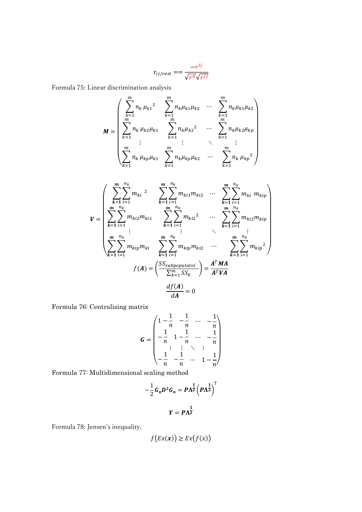$$
\mathbf{r}_{ij/rest} = = \frac{-r^{ij}}{\sqrt{r^{ii}}\sqrt{r^{jj}}}
$$

Formula 75: Linear discrimination analysis

$$
M = \begin{pmatrix} \sum_{k=1}^{m} n_k \mu_{k1}^{2} & \sum_{k=1}^{m} n_k \mu_{k1} \mu_{k2} & \cdots & \sum_{k=1}^{m} n_k \mu_{k1} \mu_{k2} \\ \sum_{k=1}^{m} n_k \mu_{k2} \mu_{k1} & \sum_{k=1}^{m} n_k \mu_{k2}^{2} & \cdots & \sum_{k=1}^{m} n_k \mu_{k2} \mu_{kp} \\ \vdots & \vdots & \ddots & \vdots \\ \sum_{k=1}^{m} n_k \mu_{kp} \mu_{k1} & \sum_{k=1}^{m} n_k \mu_{kp} \mu_{k2} & \cdots & \sum_{k=1}^{m} n_k \mu_{kp}^{2} \end{pmatrix}
$$

$$
V = \begin{pmatrix} \sum_{k=1}^{m} \sum_{i=1}^{n_k} m_{ki} \, ^2 & \sum_{k=1}^{m} \sum_{i=1}^{n_k} m_{ki1} m_{ki2} \, & \cdots & \sum_{k=1}^{m} \sum_{i=1}^{n_k} m_{ki} \, m_{kip} \\ \sum_{k=1}^{m} \sum_{i=1}^{n_k} m_{ki2} m_{ki1} & \sum_{k=1}^{m} \sum_{i=1}^{n_k} m_{ki2} \, ^2 & \cdots & \sum_{k=1}^{m} \sum_{i=1}^{n_k} m_{ki2} m_{kip} \\ \sum_{k=1}^{m} \sum_{i=1}^{n_k} m_{kip} m_{ki} & \sum_{k=1}^{m} \sum_{i=1}^{n_k} m_{kip} m_{ki2} \, & \cdots & \sum_{k=1}^{m} \sum_{i=1}^{n_k} m_{kip}^2 \\ f(A) = \left( \frac{SS_{subpopulation}}{\sum_{k=1}^{m} SS_k} \right) = \frac{A^T M A}{A^T V A} \\ \frac{df(A)}{dA} = 0 \end{pmatrix}
$$

Formula 76: Centralizing matrix

$$
G = \begin{pmatrix} 1 - \frac{1}{n} & -\frac{1}{n} & \cdots & -\frac{1}{n} \\ -\frac{1}{n} & 1 - \frac{1}{n} & \cdots & -\frac{1}{n} \\ \vdots & \vdots & \ddots & \vdots \\ -\frac{1}{n} & -\frac{1}{n} & \cdots & 1 - \frac{1}{n} \end{pmatrix}
$$

Formula 77: Multidimensional scaling method

$$
-\frac{1}{2}G_nD^2G_n = P\Lambda^{\frac{1}{2}}\left(P\Lambda^{\frac{1}{2}}\right)^T
$$

$$
Y = P\Lambda^{\frac{1}{2}}
$$

Formula 78: Jensen's inequality,

$$
f\big(Ex(x)\big)\geq Ex\big(f(x)\big)
$$